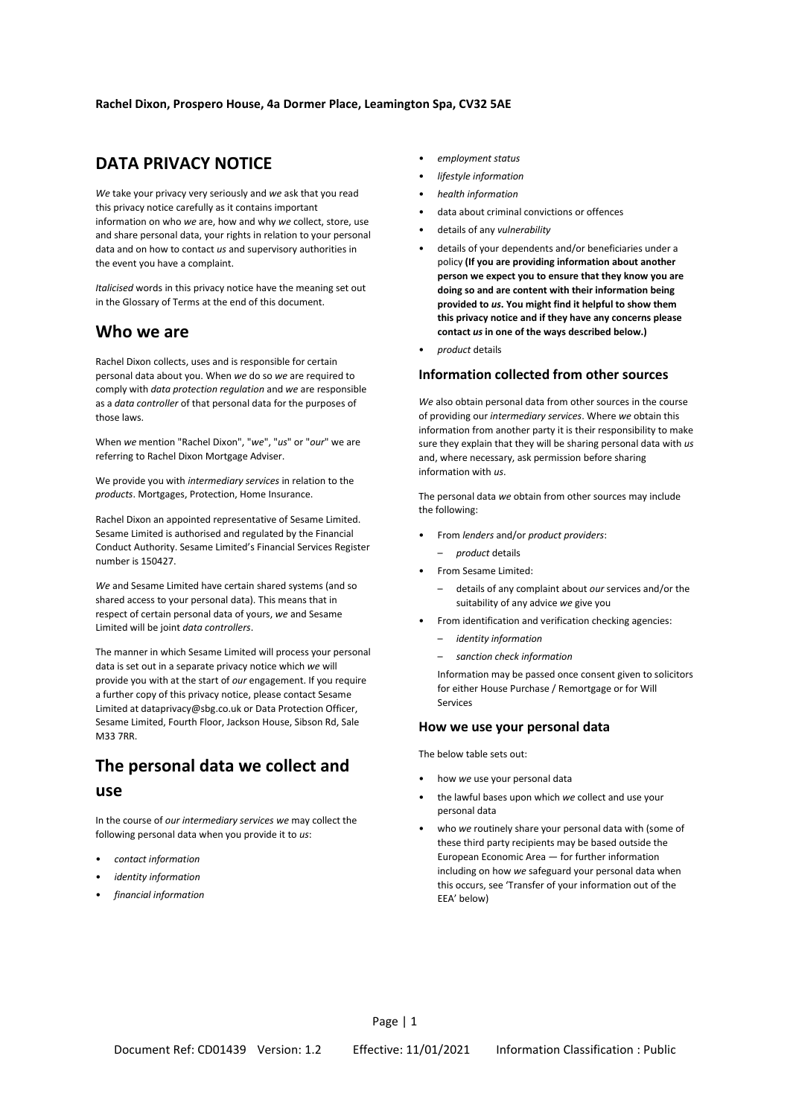# **DATA PRIVACY NOTICE**

*We* take your privacy very seriously and *we* ask that you read this privacy notice carefully as it contains important information on who *we* are, how and why *we* collect, store, use and share personal data, your rights in relation to your personal data and on how to contact *us* and supervisory authorities in the event you have a complaint.

*Italicised* words in this privacy notice have the meaning set out in the Glossary of Terms at the end of this document.

## **Who we are**

Rachel Dixon collects, uses and is responsible for certain personal data about you. When *we* do so *we* are required to comply with *data protection regulation* and *we* are responsible as a *data controller* of that personal data for the purposes of those laws.

When *we* mention "Rachel Dixon", "*we*", "*us*" or "*our*" we are referring to Rachel Dixon Mortgage Adviser.

We provide you with *intermediary services* in relation to the *products*. Mortgages, Protection, Home Insurance.

Rachel Dixon an appointed representative of Sesame Limited. Sesame Limited is authorised and regulated by the Financial Conduct Authority. Sesame Limited's Financial Services Register number is 150427.

*We* and Sesame Limited have certain shared systems (and so shared access to your personal data). This means that in respect of certain personal data of yours, *we* and Sesame Limited will be joint *data controllers*.

The manner in which Sesame Limited will process your personal data is set out in a separate privacy notice which *we* will provide you with at the start of *our* engagement. If you require a further copy of this privacy notice, please contact Sesame Limited at dataprivacy@sbg.co.uk or Data Protection Officer, Sesame Limited, Fourth Floor, Jackson House, Sibson Rd, Sale M33 7RR.

# **The personal data we collect and use**

In the course of *our intermediary services we* may collect the following personal data when you provide it to *us*:

- *contact information*
- *identity information*
- *financial information*
- *employment status*
- *lifestyle information*
- *health information*
- data about criminal convictions or offences
- details of any *vulnerability*
- details of your dependents and/or beneficiaries under a policy **(If you are providing information about another person we expect you to ensure that they know you are doing so and are content with their information being provided to** *us***. You might find it helpful to show them this privacy notice and if they have any concerns please contact** *us* **in one of the ways described below.)**
- *product* details

### **Information collected from other sources**

*We* also obtain personal data from other sources in the course of providing our *intermediary services*. Where *we* obtain this information from another party it is their responsibility to make sure they explain that they will be sharing personal data with *us* and, where necessary, ask permission before sharing information with *us*.

The personal data *we* obtain from other sources may include the following:

- From *lenders* and/or *product providers*:
	- *product* details
- From Sesame Limited:
	- details of any complaint about *our* services and/or the suitability of any advice *we* give you
- From identification and verification checking agencies:
	- *identity information*
	- *sanction check information*

Information may be passed once consent given to solicitors for either House Purchase / Remortgage or for Will Services

### **How we use your personal data**

The below table sets out:

- how *we* use your personal data
- the lawful bases upon which *we* collect and use your personal data
- who *we* routinely share your personal data with (some of these third party recipients may be based outside the European Economic Area — for further information including on how *we* safeguard your personal data when this occurs, see 'Transfer of your information out of the EEA' below)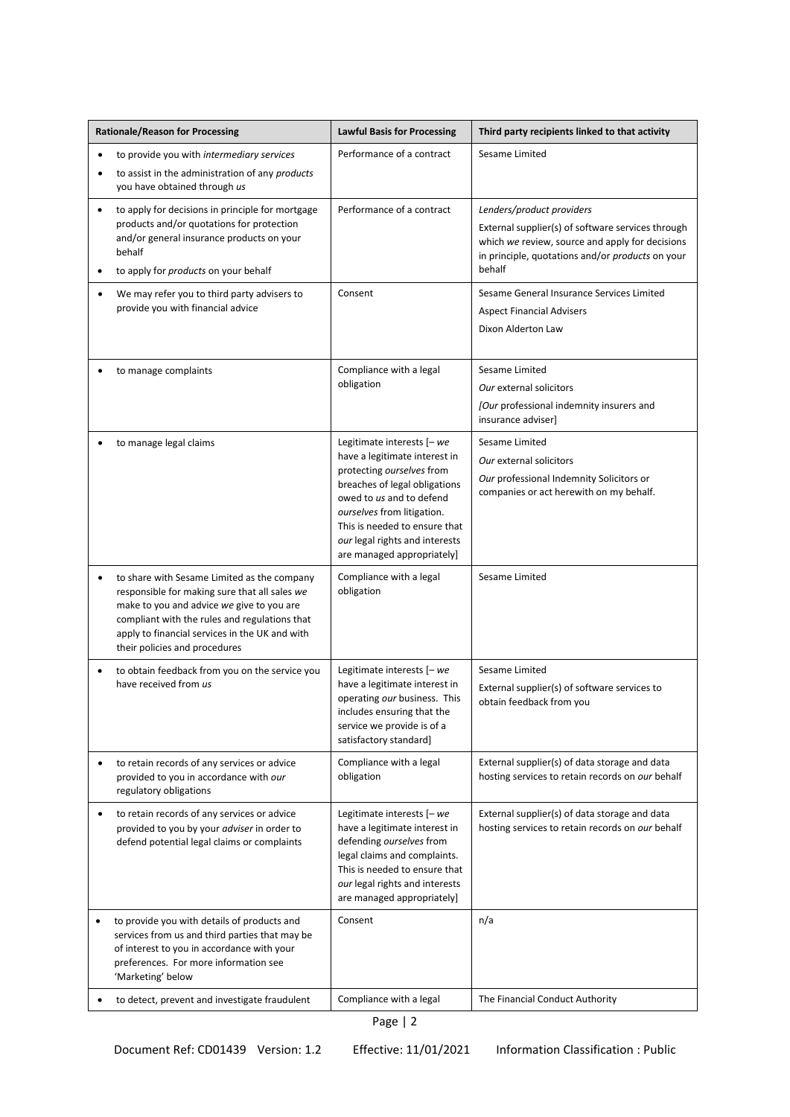| <b>Rationale/Reason for Processing</b> |                                                                                                                                                                                                                                                                               | <b>Lawful Basis for Processing</b>                                                                                                                                                                                                                                                   | Third party recipients linked to that activity                                                                                                                                                  |
|----------------------------------------|-------------------------------------------------------------------------------------------------------------------------------------------------------------------------------------------------------------------------------------------------------------------------------|--------------------------------------------------------------------------------------------------------------------------------------------------------------------------------------------------------------------------------------------------------------------------------------|-------------------------------------------------------------------------------------------------------------------------------------------------------------------------------------------------|
| $\bullet$                              | to provide you with intermediary services<br>to assist in the administration of any products                                                                                                                                                                                  | Performance of a contract                                                                                                                                                                                                                                                            | Sesame Limited                                                                                                                                                                                  |
|                                        | you have obtained through us<br>to apply for decisions in principle for mortgage<br>products and/or quotations for protection<br>and/or general insurance products on your<br>behalf<br>to apply for <i>products</i> on your behalf                                           | Performance of a contract                                                                                                                                                                                                                                                            | Lenders/product providers<br>External supplier(s) of software services through<br>which we review, source and apply for decisions<br>in principle, quotations and/or products on your<br>behalf |
|                                        | We may refer you to third party advisers to<br>provide you with financial advice                                                                                                                                                                                              | Consent                                                                                                                                                                                                                                                                              | Sesame General Insurance Services Limited<br><b>Aspect Financial Advisers</b><br>Dixon Alderton Law                                                                                             |
|                                        | to manage complaints                                                                                                                                                                                                                                                          | Compliance with a legal<br>obligation                                                                                                                                                                                                                                                | Sesame Limited<br>Our external solicitors<br>[Our professional indemnity insurers and<br>insurance adviser]                                                                                     |
|                                        | to manage legal claims                                                                                                                                                                                                                                                        | Legitimate interests [- we<br>have a legitimate interest in<br>protecting ourselves from<br>breaches of legal obligations<br>owed to us and to defend<br>ourselves from litigation.<br>This is needed to ensure that<br>our legal rights and interests<br>are managed appropriately] | Sesame Limited<br>Our external solicitors<br>Our professional Indemnity Solicitors or<br>companies or act herewith on my behalf.                                                                |
|                                        | to share with Sesame Limited as the company<br>responsible for making sure that all sales we<br>make to you and advice we give to you are<br>compliant with the rules and regulations that<br>apply to financial services in the UK and with<br>their policies and procedures | Compliance with a legal<br>obligation                                                                                                                                                                                                                                                | Sesame Limited                                                                                                                                                                                  |
|                                        | to obtain feedback from you on the service you<br>have received from us                                                                                                                                                                                                       | Legitimate interests [- we<br>have a legitimate interest in<br>operating our business. This<br>includes ensuring that the<br>service we provide is of a<br>satisfactory standard]                                                                                                    | Sesame Limited<br>External supplier(s) of software services to<br>obtain feedback from you                                                                                                      |
|                                        | to retain records of any services or advice<br>provided to you in accordance with our<br>regulatory obligations                                                                                                                                                               | Compliance with a legal<br>obligation                                                                                                                                                                                                                                                | External supplier(s) of data storage and data<br>hosting services to retain records on our behalf                                                                                               |
|                                        | to retain records of any services or advice<br>provided to you by your adviser in order to<br>defend potential legal claims or complaints                                                                                                                                     | Legitimate interests [- we<br>have a legitimate interest in<br>defending ourselves from<br>legal claims and complaints.<br>This is needed to ensure that<br>our legal rights and interests<br>are managed appropriately]                                                             | External supplier(s) of data storage and data<br>hosting services to retain records on our behalf                                                                                               |
| ٠                                      | to provide you with details of products and<br>services from us and third parties that may be<br>of interest to you in accordance with your<br>preferences. For more information see<br>'Marketing' below                                                                     | Consent                                                                                                                                                                                                                                                                              | n/a                                                                                                                                                                                             |
|                                        | to detect, prevent and investigate fraudulent                                                                                                                                                                                                                                 | Compliance with a legal                                                                                                                                                                                                                                                              | The Financial Conduct Authority                                                                                                                                                                 |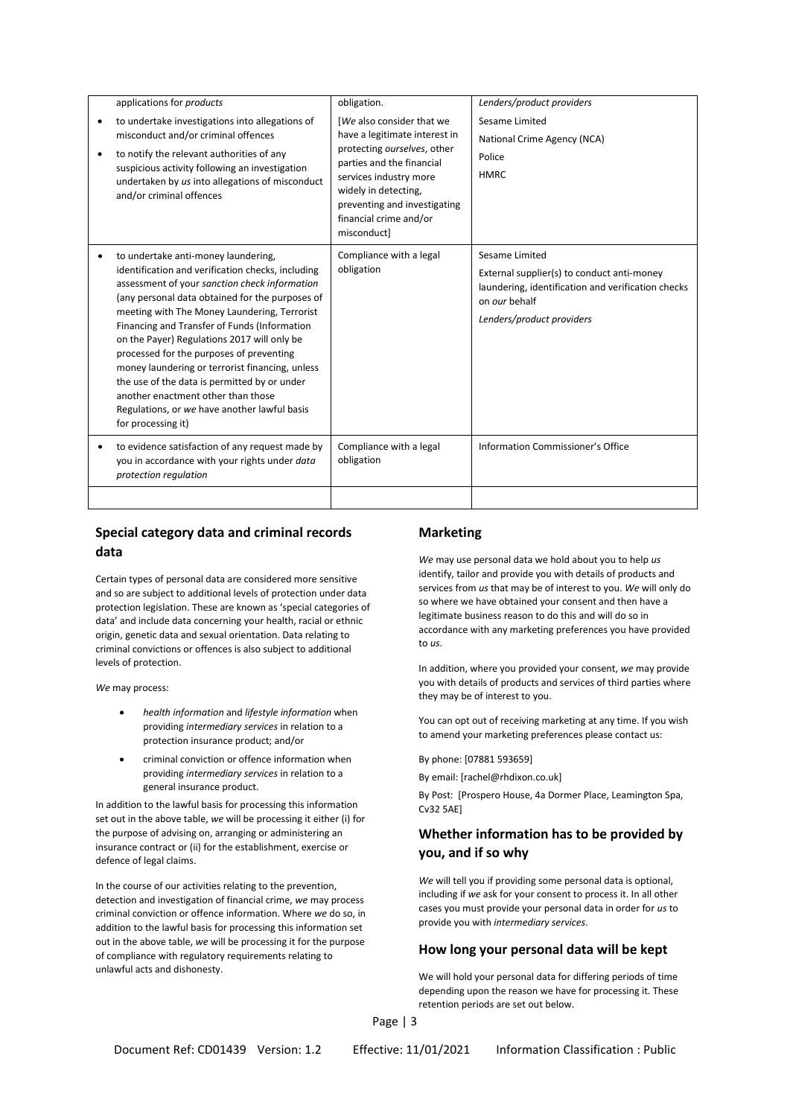|           | applications for products                                                                                                                                                                                                                                                                                                                                                                                                                                                                                                                                                                              | obligation.                                                                                                                                                                                                                                       | Lenders/product providers                                                                                                                                        |
|-----------|--------------------------------------------------------------------------------------------------------------------------------------------------------------------------------------------------------------------------------------------------------------------------------------------------------------------------------------------------------------------------------------------------------------------------------------------------------------------------------------------------------------------------------------------------------------------------------------------------------|---------------------------------------------------------------------------------------------------------------------------------------------------------------------------------------------------------------------------------------------------|------------------------------------------------------------------------------------------------------------------------------------------------------------------|
| $\bullet$ | to undertake investigations into allegations of<br>misconduct and/or criminal offences<br>to notify the relevant authorities of any<br>suspicious activity following an investigation<br>undertaken by us into allegations of misconduct<br>and/or criminal offences                                                                                                                                                                                                                                                                                                                                   | [We also consider that we<br>have a legitimate interest in<br>protecting ourselves, other<br>parties and the financial<br>services industry more<br>widely in detecting,<br>preventing and investigating<br>financial crime and/or<br>misconduct] | Sesame Limited<br>National Crime Agency (NCA)<br>Police<br><b>HMRC</b>                                                                                           |
| $\bullet$ | to undertake anti-money laundering,<br>identification and verification checks, including<br>assessment of your sanction check information<br>(any personal data obtained for the purposes of<br>meeting with The Money Laundering, Terrorist<br>Financing and Transfer of Funds (Information<br>on the Payer) Regulations 2017 will only be<br>processed for the purposes of preventing<br>money laundering or terrorist financing, unless<br>the use of the data is permitted by or under<br>another enactment other than those<br>Regulations, or we have another lawful basis<br>for processing it) | Compliance with a legal<br>obligation                                                                                                                                                                                                             | Sesame Limited<br>External supplier(s) to conduct anti-money<br>laundering, identification and verification checks<br>on our behalf<br>Lenders/product providers |
|           | to evidence satisfaction of any request made by<br>you in accordance with your rights under data<br>protection regulation                                                                                                                                                                                                                                                                                                                                                                                                                                                                              | Compliance with a legal<br>obligation                                                                                                                                                                                                             | Information Commissioner's Office                                                                                                                                |
|           |                                                                                                                                                                                                                                                                                                                                                                                                                                                                                                                                                                                                        |                                                                                                                                                                                                                                                   |                                                                                                                                                                  |

## **Special category data and criminal records data**

Certain types of personal data are considered more sensitive and so are subject to additional levels of protection under data protection legislation. These are known as 'special categories of data' and include data concerning your health, racial or ethnic origin, genetic data and sexual orientation. Data relating to criminal convictions or offences is also subject to additional levels of protection.

*We* may process:

- *health information* and *lifestyle information* when providing *intermediary services* in relation to a protection insurance product; and/or
- criminal conviction or offence information when providing *intermediary services* in relation to a general insurance product.

In addition to the lawful basis for processing this information set out in the above table, *we* will be processing it either (i) for the purpose of advising on, arranging or administering an insurance contract or (ii) for the establishment, exercise or defence of legal claims.

In the course of our activities relating to the prevention, detection and investigation of financial crime, *we* may process criminal conviction or offence information. Where *we* do so, in addition to the lawful basis for processing this information set out in the above table, *we* will be processing it for the purpose of compliance with regulatory requirements relating to unlawful acts and dishonesty.

## **Marketing**

*We* may use personal data we hold about you to help *us* identify, tailor and provide you with details of products and services from *us* that may be of interest to you. *We* will only do so where we have obtained your consent and then have a legitimate business reason to do this and will do so in accordance with any marketing preferences you have provided to *us*.

In addition, where you provided your consent, *we* may provide you with details of products and services of third parties where they may be of interest to you.

You can opt out of receiving marketing at any time. If you wish to amend your marketing preferences please contact us:

By phone: [07881 593659]

By email: [rachel@rhdixon.co.uk]

By Post: [Prospero House, 4a Dormer Place, Leamington Spa, Cv32 5AE]

## **Whether information has to be provided by you, and if so why**

*We* will tell you if providing some personal data is optional, including if *we* ask for your consent to process it. In all other cases you must provide your personal data in order for *us* to provide you with *intermediary services*.

### **How long your personal data will be kept**

We will hold your personal data for differing periods of time depending upon the reason we have for processing it. These retention periods are set out below.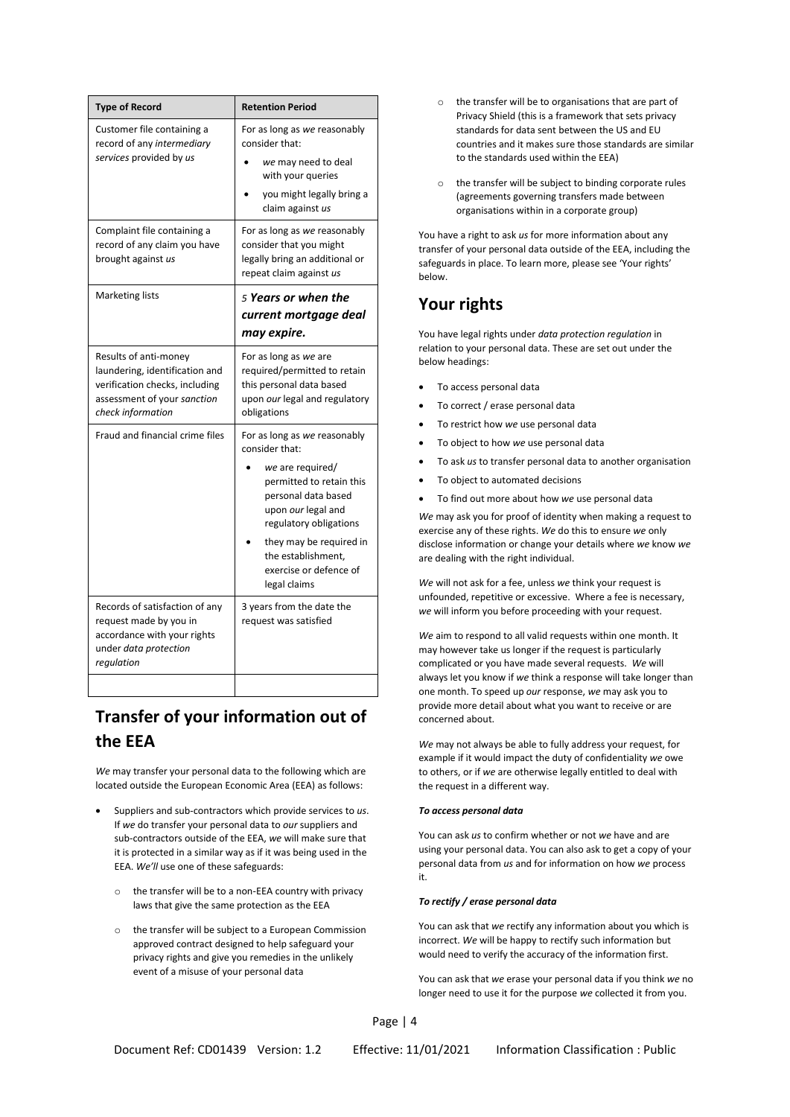| <b>Type of Record</b>                                                                                                                         | <b>Retention Period</b>                                                                                                           |  |  |
|-----------------------------------------------------------------------------------------------------------------------------------------------|-----------------------------------------------------------------------------------------------------------------------------------|--|--|
| Customer file containing a<br>record of any intermediary                                                                                      | For as long as we reasonably<br>consider that:                                                                                    |  |  |
| services provided by us                                                                                                                       | we may need to deal<br>with your queries                                                                                          |  |  |
|                                                                                                                                               | you might legally bring a<br>claim against us                                                                                     |  |  |
| Complaint file containing a<br>record of any claim you have<br>brought against us                                                             | For as long as we reasonably<br>consider that you might<br>legally bring an additional or<br>repeat claim against us              |  |  |
| <b>Marketing lists</b>                                                                                                                        | 5 Years or when the                                                                                                               |  |  |
|                                                                                                                                               | current mortgage deal<br>may expire.                                                                                              |  |  |
| Results of anti-money<br>laundering, identification and<br>verification checks, including<br>assessment of your sanction<br>check information | For as long as we are<br>required/permitted to retain<br>this personal data based<br>upon our legal and regulatory<br>obligations |  |  |
| Fraud and financial crime files                                                                                                               | For as long as we reasonably<br>consider that:                                                                                    |  |  |
|                                                                                                                                               | we are required/<br>permitted to retain this<br>personal data based<br>upon our legal and<br>regulatory obligations               |  |  |
|                                                                                                                                               | they may be required in<br>the establishment,<br>exercise or defence of<br>legal claims                                           |  |  |
| Records of satisfaction of any<br>request made by you in<br>accordance with your rights<br>under data protection<br>regulation                | 3 years from the date the<br>request was satisfied                                                                                |  |  |
|                                                                                                                                               |                                                                                                                                   |  |  |

# **Transfer of your information out of the EEA**

*We* may transfer your personal data to the following which are located outside the European Economic Area (EEA) as follows:

- Suppliers and sub-contractors which provide services to *us*. If *we* do transfer your personal data to *our* suppliers and sub-contractors outside of the EEA, *we* will make sure that it is protected in a similar way as if it was being used in the EEA. *We'll* use one of these safeguards:
	- the transfer will be to a non-EEA country with privacy laws that give the same protection as the EEA
	- o the transfer will be subject to a European Commission approved contract designed to help safeguard your privacy rights and give you remedies in the unlikely event of a misuse of your personal data
- o the transfer will be to organisations that are part of Privacy Shield (this is a framework that sets privacy standards for data sent between the US and EU countries and it makes sure those standards are similar to the standards used within the EEA)
- o the transfer will be subject to binding corporate rules (agreements governing transfers made between organisations within in a corporate group)

You have a right to ask *us* for more information about any transfer of your personal data outside of the EEA, including the safeguards in place. To learn more, please see 'Your rights' below.

# **Your rights**

You have legal rights under *data protection regulation* in relation to your personal data. These are set out under the below headings:

- To access personal data
- To correct / erase personal data
- To restrict how *we* use personal data
- To object to how *we* use personal data
- To ask *us* to transfer personal data to another organisation
- To object to automated decisions
- To find out more about how *we* use personal data

*We* may ask you for proof of identity when making a request to exercise any of these rights. *We* do this to ensure *we* only disclose information or change your details where *we* know *we* are dealing with the right individual.

*We* will not ask for a fee, unless *we* think your request is unfounded, repetitive or excessive. Where a fee is necessary, *we* will inform you before proceeding with your request.

*We* aim to respond to all valid requests within one month. It may however take us longer if the request is particularly complicated or you have made several requests. *We* will always let you know if *we* think a response will take longer than one month. To speed up *our* response, *we* may ask you to provide more detail about what you want to receive or are concerned about.

*We* may not always be able to fully address your request, for example if it would impact the duty of confidentiality *we* owe to others, or if *we* are otherwise legally entitled to deal with the request in a different way.

### *To access personal data*

You can ask *us* to confirm whether or not *we* have and are using your personal data. You can also ask to get a copy of your personal data from *us* and for information on how *we* process it.

### *To rectify / erase personal data*

You can ask that *we* rectify any information about you which is incorrect. *We* will be happy to rectify such information but would need to verify the accuracy of the information first.

You can ask that *we* erase your personal data if you think *we* no longer need to use it for the purpose *we* collected it from you.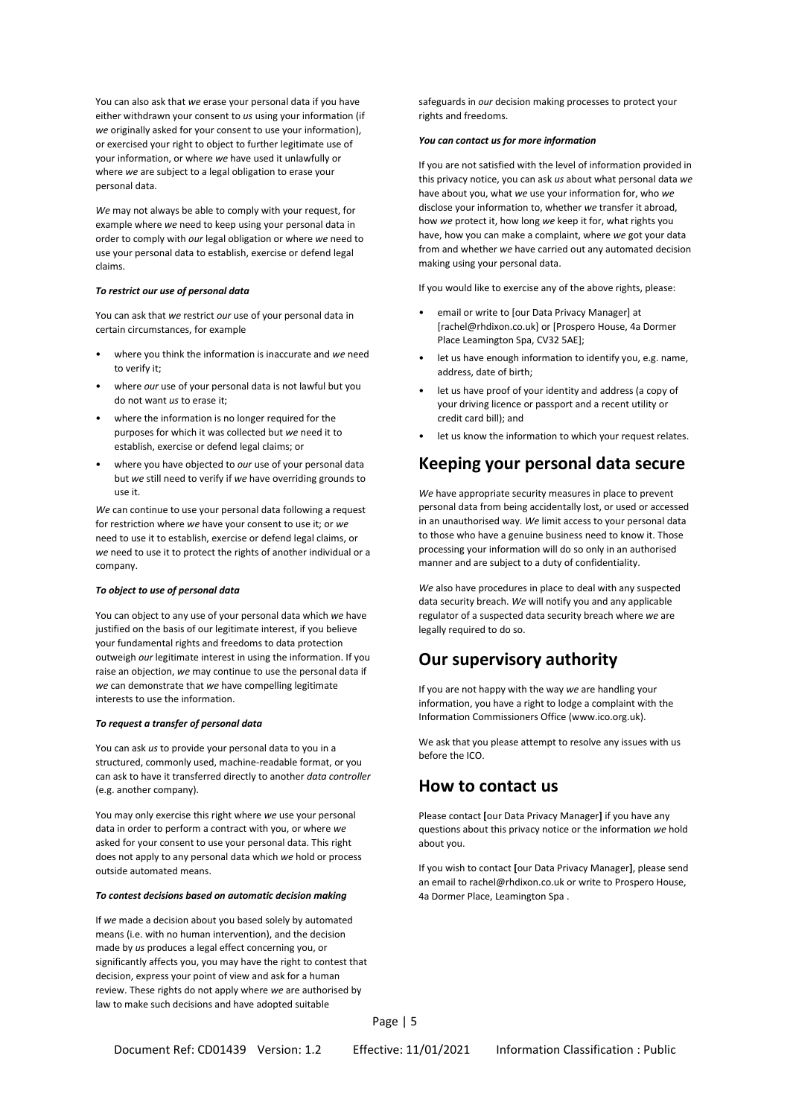You can also ask that *we* erase your personal data if you have either withdrawn your consent to *us* using your information (if *we* originally asked for your consent to use your information), or exercised your right to object to further legitimate use of your information, or where *we* have used it unlawfully or where *we* are subject to a legal obligation to erase your personal data.

*We* may not always be able to comply with your request, for example where *we* need to keep using your personal data in order to comply with *our* legal obligation or where *we* need to use your personal data to establish, exercise or defend legal claims.

### *To restrict our use of personal data*

You can ask that *we* restrict *our* use of your personal data in certain circumstances, for example

- where you think the information is inaccurate and *we* need to verify it;
- where *our* use of your personal data is not lawful but you do not want *us* to erase it;
- where the information is no longer required for the purposes for which it was collected but *we* need it to establish, exercise or defend legal claims; or
- where you have objected to *our* use of your personal data but *we* still need to verify if *we* have overriding grounds to use it.

*We* can continue to use your personal data following a request for restriction where *we* have your consent to use it; or *we* need to use it to establish, exercise or defend legal claims, or *we* need to use it to protect the rights of another individual or a company.

#### *To object to use of personal data*

You can object to any use of your personal data which *we* have justified on the basis of our legitimate interest, if you believe your fundamental rights and freedoms to data protection outweigh *our* legitimate interest in using the information. If you raise an objection, *we* may continue to use the personal data if *we* can demonstrate that *we* have compelling legitimate interests to use the information.

### *To request a transfer of personal data*

You can ask *us* to provide your personal data to you in a structured, commonly used, machine-readable format, or you can ask to have it transferred directly to another *data controller* (e.g. another company).

You may only exercise this right where *we* use your personal data in order to perform a contract with you, or where *we* asked for your consent to use your personal data. This right does not apply to any personal data which *we* hold or process outside automated means.

#### *To contest decisions based on automatic decision making*

If *we* made a decision about you based solely by automated means (i.e. with no human intervention), and the decision made by *us* produces a legal effect concerning you, or significantly affects you, you may have the right to contest that decision, express your point of view and ask for a human review. These rights do not apply where *we* are authorised by law to make such decisions and have adopted suitable

safeguards in *our* decision making processes to protect your rights and freedoms.

#### *You can contact us for more information*

If you are not satisfied with the level of information provided in this privacy notice, you can ask *us* about what personal data *we* have about you, what *we* use your information for, who *we* disclose your information to, whether *we* transfer it abroad, how *we* protect it, how long *we* keep it for, what rights you have, how you can make a complaint, where *we* got your data from and whether *we* have carried out any automated decision making using your personal data.

If you would like to exercise any of the above rights, please:

- email or write to [our Data Privacy Manager] at [rachel@rhdixon.co.uk] or [Prospero House, 4a Dormer Place Leamington Spa, CV32 5AE];
- let us have enough information to identify you, e.g. name, address, date of birth;
- let us have proof of your identity and address (a copy of your driving licence or passport and a recent utility or credit card bill); and
- let us know the information to which your request relates.

# **Keeping your personal data secure**

*We* have appropriate security measures in place to prevent personal data from being accidentally lost, or used or accessed in an unauthorised way. *We* limit access to your personal data to those who have a genuine business need to know it. Those processing your information will do so only in an authorised manner and are subject to a duty of confidentiality.

*We* also have procedures in place to deal with any suspected data security breach. *We* will notify you and any applicable regulator of a suspected data security breach where *we* are legally required to do so.

## **Our supervisory authority**

If you are not happy with the way *we* are handling your information, you have a right to lodge a complaint with the Information Commissioners Office (www.ico.org.uk).

We ask that you please attempt to resolve any issues with us before the ICO.

## **How to contact us**

Please contact **[**our Data Privacy Manager**]** if you have any questions about this privacy notice or the information *we* hold about you.

If you wish to contact **[**our Data Privacy Manager**]**, please send an email to rachel@rhdixon.co.uk or write to Prospero House, 4a Dormer Place, Leamington Spa .